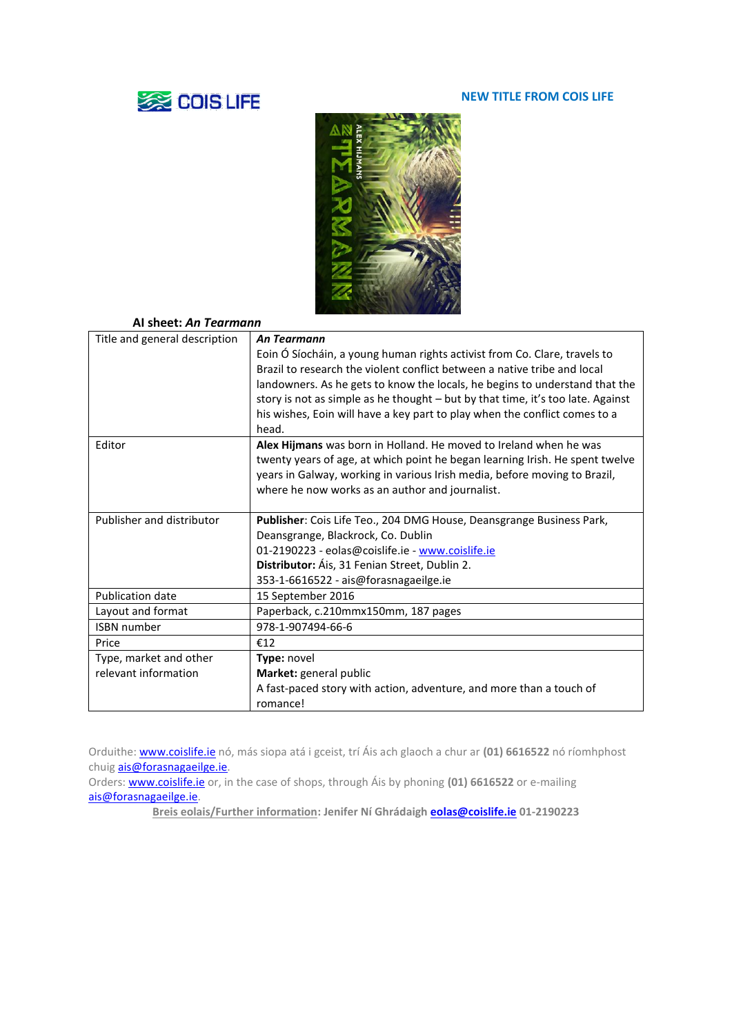# **SEE COIS LIFE**

#### **NEW TITLE FROM COIS LIFE**



## **AI sheet:** *An Tearmann*

| Title and general description | An Tearmann                                                                     |
|-------------------------------|---------------------------------------------------------------------------------|
|                               | Eoin Ó Síocháin, a young human rights activist from Co. Clare, travels to       |
|                               | Brazil to research the violent conflict between a native tribe and local        |
|                               | landowners. As he gets to know the locals, he begins to understand that the     |
|                               | story is not as simple as he thought - but by that time, it's too late. Against |
|                               | his wishes, Eoin will have a key part to play when the conflict comes to a      |
|                               | head.                                                                           |
| Editor                        | Alex Hijmans was born in Holland. He moved to Ireland when he was               |
|                               | twenty years of age, at which point he began learning Irish. He spent twelve    |
|                               | years in Galway, working in various Irish media, before moving to Brazil,       |
|                               | where he now works as an author and journalist.                                 |
|                               |                                                                                 |
| Publisher and distributor     | Publisher: Cois Life Teo., 204 DMG House, Deansgrange Business Park,            |
|                               | Deansgrange, Blackrock, Co. Dublin                                              |
|                               | 01-2190223 - eolas@coislife.ie - www.coislife.ie                                |
|                               | Distributor: Áis, 31 Fenian Street, Dublin 2.                                   |
|                               | 353-1-6616522 - ais@forasnagaeilge.ie                                           |
| <b>Publication date</b>       | 15 September 2016                                                               |
| Layout and format             | Paperback, c.210mmx150mm, 187 pages                                             |
| <b>ISBN</b> number            | 978-1-907494-66-6                                                               |
| Price                         | €12                                                                             |
| Type, market and other        | Type: novel                                                                     |
| relevant information          | Market: general public                                                          |
|                               | A fast-paced story with action, adventure, and more than a touch of             |
|                               | romance!                                                                        |
|                               |                                                                                 |

Orduithe[: www.coislife.ie](http://www.coislife.ie/) nó, más siopa atá i gceist, trí Áis ach glaoch a chur ar **(01) 6616522** nó ríomhphost chuig **ais@forasnagaeilge.ie**.

Orders[: www.coislife.ie](http://www.coislife.ie/) or, in the case of shops, through Áis by phoning **(01) 6616522** or e-mailing [ais@forasnagaeilge.ie.](mailto:ais@forasnagaeilge.ie)

**Breis eolais/Further information: Jenifer Ní Ghrádaigh [eolas@coislife.ie](mailto:eolas@coislife.ie) 01-2190223**